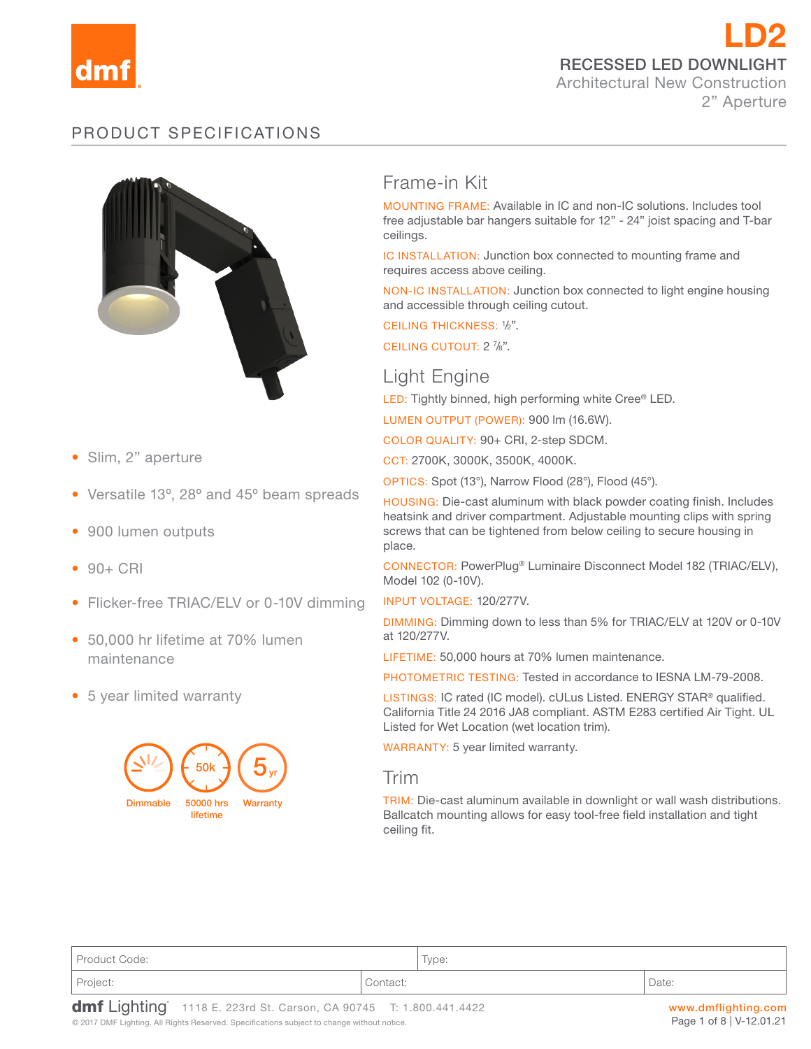

LD2 RECESSED LED DOWNLIGHT Architectural New Construction 2" Aperture

# PRODUCT SPECIFICATIONS



- Slim, 2" aperture
- Versatile 13º, 28º and 45º beam spreads
- 900 lumen outputs
- $90 + CRI$
- Flicker-free TRIAC/ELV or 0-10V dimming
- 50,000 hr lifetime at 70% lumen maintenance
- 5 year limited warranty



# Frame-in Kit

MOUNTING FRAME: Available in IC and non-IC solutions. Includes tool free adjustable bar hangers suitable for 12" - 24" joist spacing and T-bar ceilings.

IC INSTALLATION: Junction box connected to mounting frame and requires access above ceiling.

NON-IC INSTALLATION: Junction box connected to light engine housing and accessible through ceiling cutout.

CEILING THICKNESS: <sup>1</sup> /2".

CEILING CUTOUT: 2 7/8".

# Light Engine

LED: Tightly binned, high performing white Cree® LED.

LUMEN OUTPUT (POWER): 900 lm (16.6W).

COLOR QUALITY: 90+ CRI, 2-step SDCM.

CCT: 2700K, 3000K, 3500K, 4000K.

OPTICS: Spot (13°), Narrow Flood (28°), Flood (45°).

HOUSING: Die-cast aluminum with black powder coating finish. Includes heatsink and driver compartment. Adjustable mounting clips with spring screws that can be tightened from below ceiling to secure housing in place.

CONNECTOR: PowerPlug® Luminaire Disconnect Model 182 (TRIAC/ELV), Model 102 (0-10V).

INPUT VOLTAGE: 120/277V.

DIMMING: Dimming down to less than 5% for TRIAC/ELV at 120V or 0-10V at 120/277V.

LIFETIME: 50,000 hours at 70% lumen maintenance.

PHOTOMETRIC TESTING: Tested in accordance to IESNA LM-79-2008.

LISTINGS: IC rated (IC model). cULus Listed. ENERGY STAR® qualified. California Title 24 2016 JA8 compliant. ASTM E283 certified Air Tight. UL Listed for Wet Location (wet location trim).

WARRANTY: 5 year limited warranty.

#### Trim

TRIM: Die-cast aluminum available in downlight or wall wash distributions. Ballcatch mounting allows for easy tool-free field installation and tight ceiling fit.

| Product Code: |          | $\overline{\phantom{0}}$<br>Type: |       |
|---------------|----------|-----------------------------------|-------|
| Project:      | Contact: |                                   | Date: |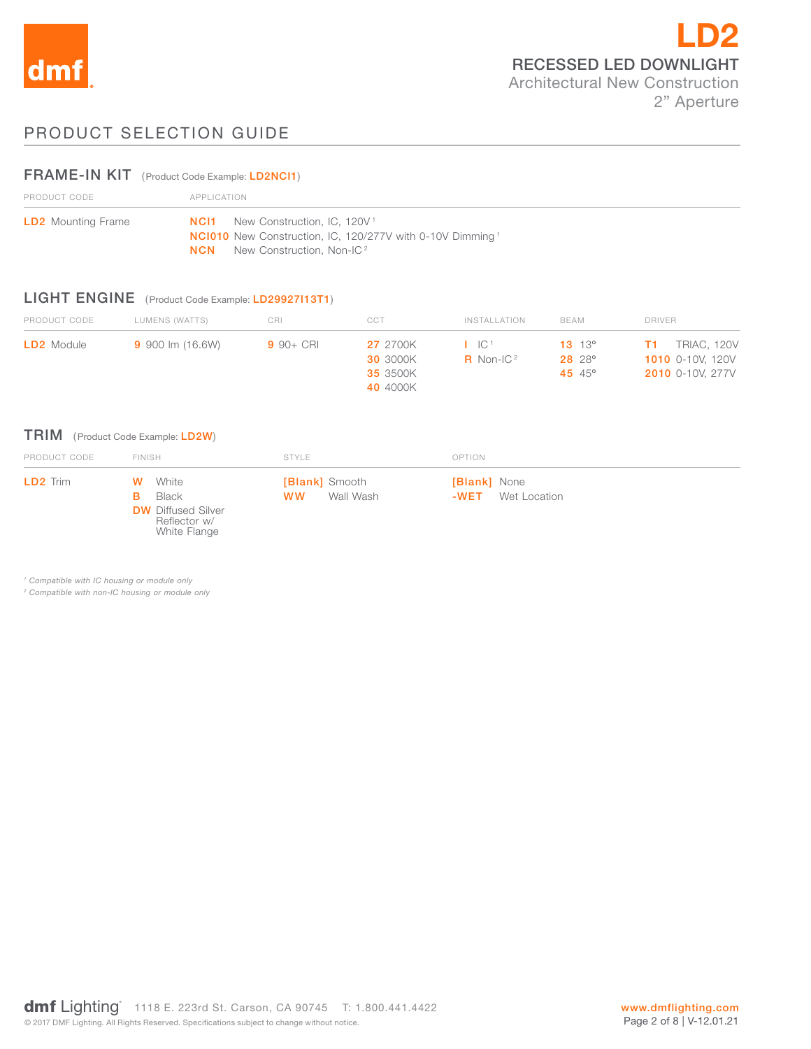

# PRODUCT SELECTION GUIDE

## FRAME-IN KIT (Product Code Example: LD2NCI1)

| PRODUCT CODE              | APPLICATION                                                                                                                         |  |  |
|---------------------------|-------------------------------------------------------------------------------------------------------------------------------------|--|--|
| <b>LD2</b> Mounting Frame | <b>NCI1</b> New Construction, IC, 120V <sup>1</sup><br><b>NC1010</b> New Construction, IC, 120/277V with 0-10V Dimming <sup>1</sup> |  |  |
|                           | <b>NCN</b> New Construction, Non-IC <sup>2</sup>                                                                                    |  |  |

#### LIGHT ENGINE (Product Code Example: LD29927I13T1)

White Flange

| PRODUCT CODE      | LUMENS (WATTS)   | CRI          | CCT             | INSTALLATION                 | BEAM              | <b>DRIVER</b>           |
|-------------------|------------------|--------------|-----------------|------------------------------|-------------------|-------------------------|
| <b>LD2</b> Module | 9 900 lm (16.6W) | $9.90 + CRI$ | <b>27</b> 2700K | $\cdot$ IC <sup>1</sup>      | $13 \t13^{\circ}$ | TRIAC, 120V<br>T1.      |
|                   |                  |              | <b>30 3000K</b> | <b>R</b> Non-IC <sup>2</sup> | 28 28°            | <b>1010</b> 0-10V. 120V |
|                   |                  |              | 35 3500K        |                              | 45 $45^{\circ}$   | <b>2010</b> 0-10V, 277V |
|                   |                  |              | 40 4000K        |                              |                   |                         |

## TRIM (Product Code Example: LD2W)

| PRODUCT CODE | <b>FINISH</b>                                                        | STYLE                                           | <b>OPTION</b>                               |  |
|--------------|----------------------------------------------------------------------|-------------------------------------------------|---------------------------------------------|--|
| LD2 Trim     | <b>W</b> White<br>Black<br><b>DW</b> Diffused Silver<br>Reflector w/ | <b>[Blank]</b> Smooth<br><b>WW</b><br>Wall Wash | <b>[Blank]</b> None<br>Wet Location<br>-WET |  |

*1 Compatible with IC housing or module only*

*2 Compatible with non-IC housing or module only*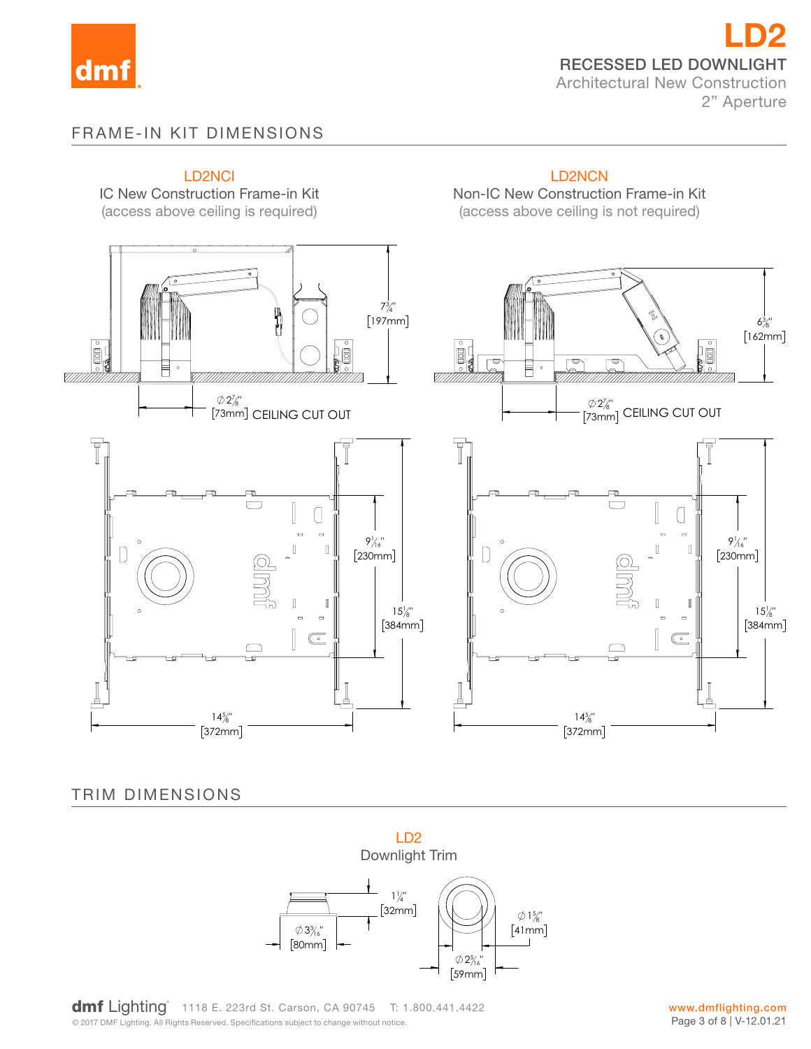

LD2 RECESSED LED DOWNLIGHT Architectural New Construction 2" Aperture

# FRAME-IN KIT DIMENSIONS



TRIM DIMENSIONS



**COMPTE LIGHTING** TIME LE ZZONE ON. ORISON, OR 30740 TIME<br>© 2017 DMF Lighting. All Rights Reserved. Specifications subject to change without notice. dmf Lighting<sup>\*</sup> 1118 E. 223rd St. Carson, CA 90745 T: 1.800.441.4422 41mm

www.dmflighting.com Page 3 of 8 | V-12.01.21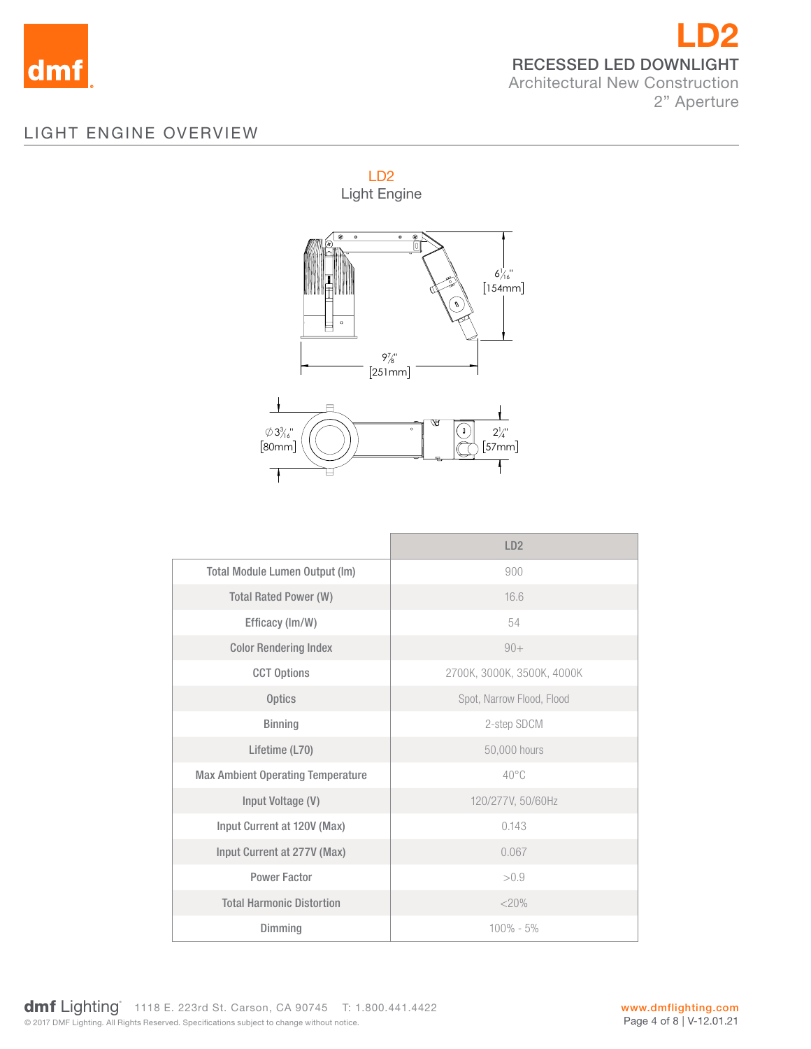

# LIGHT ENGINE OVERVIEW



|                                          | LD <sub>2</sub>            |
|------------------------------------------|----------------------------|
| <b>Total Module Lumen Output (Im)</b>    | 900                        |
| <b>Total Rated Power (W)</b>             | 16.6                       |
| Efficacy (Im/W)                          | 54                         |
| <b>Color Rendering Index</b>             | $90+$                      |
| <b>CCT Options</b>                       | 2700K, 3000K, 3500K, 4000K |
| <b>Optics</b>                            | Spot, Narrow Flood, Flood  |
| <b>Binning</b>                           | 2-step SDCM                |
| Lifetime (L70)                           | 50,000 hours               |
| <b>Max Ambient Operating Temperature</b> | $40^{\circ}$ C             |
| Input Voltage (V)                        | 120/277V, 50/60Hz          |
| Input Current at 120V (Max)              | 0.143                      |
| Input Current at 277V (Max)              | 0.067                      |
| <b>Power Factor</b>                      | > 0.9                      |
| <b>Total Harmonic Distortion</b>         | $<$ 20%                    |
| Dimming                                  | $100\% - 5\%$              |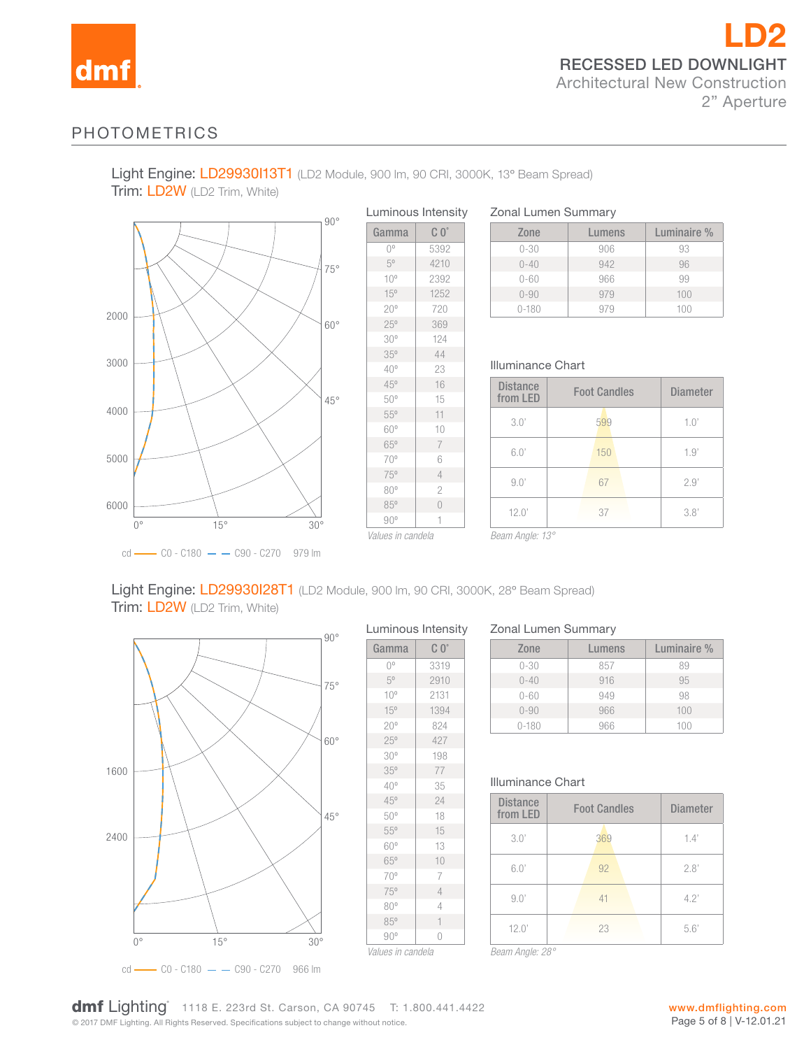

# PHOTOMETRICS

Light Engine: LD29930113T1 (LD2 Module, 900 lm, 90 CRI, 3000K, 13° Beam Spread) Trim: LD2W (LD2 Trim, White)



| Gamma           | $C_0$          |
|-----------------|----------------|
| 0°              | 5392           |
| $5^{\circ}$     | 4210           |
| $10^{\circ}$    | 2392           |
| 15°             | 1252           |
| $20^{\circ}$    | 720            |
| 25°             | 369            |
| 30 <sup>o</sup> | 124            |
| 35°             | 44             |
| 40°             | 23             |
| 45°             | 16             |
| 50°             | 15             |
| 55°             | 11             |
| 60°             | 10             |
| 65°             | $\overline{7}$ |
| 70°             | 6              |
| 75°             | $\overline{4}$ |
| 80°             | $\overline{c}$ |
| 85°             | $\overline{0}$ |
| $90^{\circ}$    | 1              |

#### Zonal Lumen Summary

| Zone      | Lumens | Luminaire % |
|-----------|--------|-------------|
| $0 - 30$  | 906    | 93          |
| $0 - 40$  | 942    | 96          |
| $0 - 60$  | 966    | 99          |
| $0 - 90$  | 979    | 100         |
| $0 - 180$ |        | 11111       |

#### Illuminance Chart

| <b>Distance</b><br>from LED | <b>Foot Candles</b> | <b>Diameter</b> |
|-----------------------------|---------------------|-----------------|
| 3.0'                        | 599                 | 1.0'            |
| 6.0'                        | 150                 | 1.9'            |
| 9.0'                        | 67                  | 2.9'            |
| 12.0'                       | 37                  | 3.8'            |

*Beam Angle: 13°*

## Light Engine: LD29930I28T1 (LD2 Module, 900 lm, 90 CRI, 3000K, 28° Beam Spread) Trim: LD2W (LD2 Trim, White)



#### Luminous Intensity

| Gamma           | $C_0^{\circ}$  |
|-----------------|----------------|
| 0°              | 3319           |
| $5^{\circ}$     | 2910           |
| $10^{\circ}$    | 2131           |
| 15°             | 1394           |
| $20^{\circ}$    | 824            |
| 25°             | 427            |
| 30 <sup>o</sup> | 198            |
| 35°             | 77             |
| $40^{\circ}$    | 35             |
| 45°             | 24             |
| 50°             | 18             |
| 55°             | 15             |
| 60°             | 13             |
| 65°             | 10             |
| 70°             | 7              |
| 75°             | $\overline{4}$ |
| 80°             | 4              |
| 85°             | $\mathbf{1}$   |
| $90^{\circ}$    | 0              |

#### Zonal Lumen Summary

| Zone      | Lumens | Luminaire % |
|-----------|--------|-------------|
| $0 - 30$  | 857    | 89          |
| $0 - 40$  | 916    | 95          |
| $0 - 60$  | 949    | 98          |
| $0 - 90$  | 966    | 100         |
| $0 - 180$ | 966    | 1()()       |

#### Illuminance Chart

| <b>Distance</b><br>from LED | <b>Foot Candles</b> |     | <b>Diameter</b> |      |
|-----------------------------|---------------------|-----|-----------------|------|
| 3.0'                        |                     | 369 |                 | 1.4' |
| 6.0'                        |                     | 92  |                 | 2.8' |
| 9.0'                        |                     | 41  |                 | 4.2' |
| 12.0'                       |                     | 23  |                 | 5.6' |
| Beam Angle: 28°             |                     |     |                 |      |

© 2017 DMF Lighting. All Rights Reserved. Specifications subject to change without notice. **dmf** Lighting 1118 E. 223rd St. Carson, CA 90745 T: 1.800.441.4422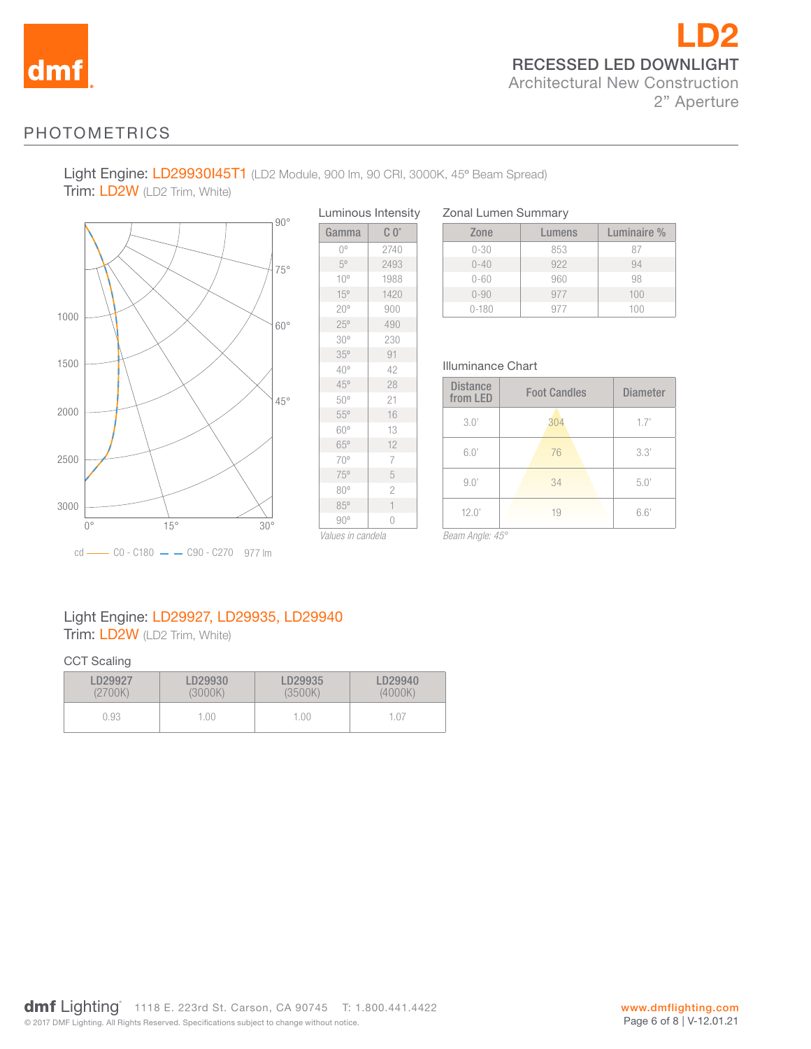

# LD2 RECESSED LED DOWNLIGHT Architectural New Construction 2" Aperture

# PHOTOMETRICS

Light Engine: LD29930I45T1 (LD2 Module, 900 lm, 90 CRI, 3000K, 45º Beam Spread)

 $\overline{\phantom{a}}$ 

Trim: LD2W (LD2 Trim, White)



| Luminous Intensity |                |  |  |
|--------------------|----------------|--|--|
| Gamma              | $C_0^{\circ}$  |  |  |
| 0°                 | 2740           |  |  |
| $5^{\circ}$        | 2493           |  |  |
| $10^{\circ}$       | 1988           |  |  |
| 15°                | 1420           |  |  |
| $20^{\circ}$       | 900            |  |  |
| 25°                | 490            |  |  |
| 30 <sup>o</sup>    | 230            |  |  |
| 35°                | 91             |  |  |
| 40°                | 42             |  |  |
| 45°                | 28             |  |  |
| 50°                | 21             |  |  |
| $55^{\circ}$       | 16             |  |  |
| 60°                | 13             |  |  |
| 65°                | 12             |  |  |
| 70°                | 7              |  |  |
| 75°                | 5              |  |  |
| $80^{\circ}$       | $\overline{c}$ |  |  |
| 85°                | $\overline{1}$ |  |  |
| $90^{\circ}$       | $\overline{0}$ |  |  |
| Values in candala  |                |  |  |

|  | <b>Zonal Lumen Summary</b> |
|--|----------------------------|
|  |                            |

| Zone      | Lumens | Luminaire % |
|-----------|--------|-------------|
| $0 - 30$  | 853    | 87          |
| $0 - 40$  | 922    | 94          |
| $0 - 60$  | 960    | 98          |
| $0 - 90$  | 977    | 100         |
| $0 - 180$ | Q77    | 100         |

#### Illuminance Chart

| <b>Distance</b><br>from LED | <b>Foot Candles</b> | <b>Diameter</b> |
|-----------------------------|---------------------|-----------------|
| 3.0'                        | 304                 | 1.7'            |
| 6.0'                        | 76                  | 3.3'            |
| 9.0'                        | 34                  | 5.0'            |
| 12.0'                       | 19                  | 6.6'            |

*Values in candela*

*Beam Angle: 45°*

# Light Engine: LD29927, LD29935, LD29940 Trim: LD2W (LD2 Trim, White)

#### CCT Scaling

| LD29927 | D29930  | LD29935 | LD29940 |
|---------|---------|---------|---------|
| (2700K) | (3000K) | (3500K) | (4000K) |
| 0.93    | 1.00    | 1.00    |         |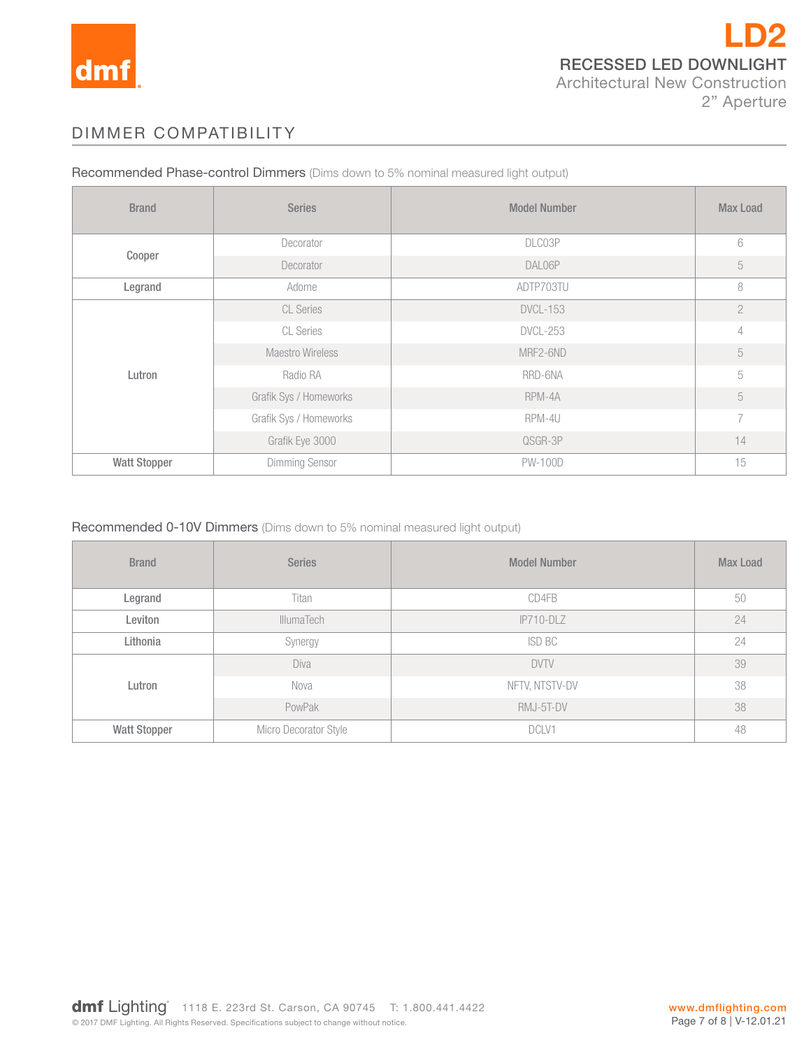

# DIMMER COMPATIBILITY

Recommended Phase-control Dimmers (Dims down to 5% nominal measured light output)

| <b>Brand</b>        | <b>Series</b>           | <b>Model Number</b> | <b>Max Load</b> |
|---------------------|-------------------------|---------------------|-----------------|
|                     | Decorator               | DLC03P              | 6               |
| Cooper              | Decorator               | DAL06P              | 5               |
| Legrand             | Adorne                  | ADTP703TU           | 8               |
|                     | <b>CL Series</b>        | <b>DVCL-153</b>     | $\overline{2}$  |
|                     | CL Series               | <b>DVCL-253</b>     | 4               |
|                     | <b>Maestro Wireless</b> | MRF2-6ND            | 5               |
| Lutron              | Radio RA                | RRD-6NA             | 5               |
|                     | Grafik Sys / Homeworks  | RPM-4A              | 5               |
|                     | Grafik Sys / Homeworks  | RPM-4U              | $\overline{7}$  |
|                     | Grafik Eye 3000         | QSGR-3P             | 14              |
| <b>Watt Stopper</b> | <b>Dimming Sensor</b>   | <b>PW-100D</b>      | 15              |

#### Recommended 0-10V Dimmers (Dims down to 5% nominal measured light output)

| <b>Brand</b>        | <b>Series</b>         | <b>Model Number</b> | <b>Max Load</b> |
|---------------------|-----------------------|---------------------|-----------------|
| Legrand             | Titan                 | CD4FB               | 50              |
| Leviton             | <b>IllumaTech</b>     | $IP710-DLZ$         | 24              |
| Lithonia            | Synergy               | ISD BC              | 24              |
|                     | Diva                  | <b>DVTV</b>         | 39              |
| Lutron              | Nova                  | NFTV, NTSTV-DV      | 38              |
|                     | PowPak                | RMJ-5T-DV           | 38              |
| <b>Watt Stopper</b> | Micro Decorator Style | DCLV1               | 48              |